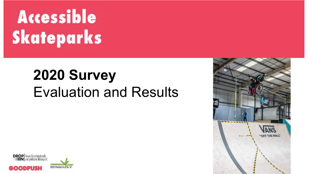# **Accessible Skateparks**

# **2020 Survey** Evaluation and Results



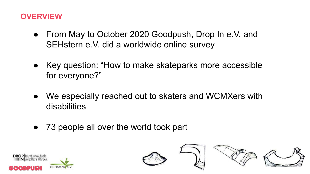# **OVERVIEW**

- From May to October 2020 Goodpush, Drop In e.V. and SEHstern e.V. did a worldwide online survey
- Key question: "How to make skateparks more accessible for everyone?"
- We especially reached out to skaters and WCMXers with disabilities
- 73 people all over the world took part



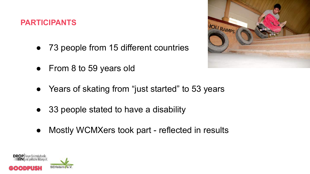## **PARTICIPANTS**

- 73 people from 15 different countries
- From 8 to 59 years old
- Years of skating from "just started" to 53 years
- 33 people stated to have a disability
- Mostly WCMXers took part reflected in results



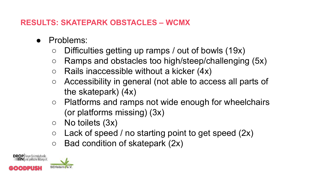# **RESULTS: SKATEPARK OBSTACLES – WCMX**

- Problems:
	- $\circ$  Difficulties getting up ramps / out of bowls (19x)
	- Ramps and obstacles too high/steep/challenging (5x)
	- $\circ$  Rails inaccessible without a kicker (4x)
	- Accessibility in general (not able to access all parts of the skatepark) (4x)
	- Platforms and ramps not wide enough for wheelchairs (or platforms missing) (3x)
	- No toilets (3x)
	- $\circ$  Lack of speed / no starting point to get speed (2x)
	- $\circ$  Bad condition of skatepark (2x)

DROP Forum für interkulturelle<br>IN und politische Bildung e.V.

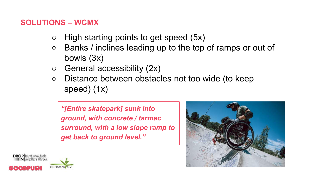#### **SOLUTIONS – WCMX**

- $\circ$  High starting points to get speed (5x)
- Banks / inclines leading up to the top of ramps or out of bowls (3x)
- $\circ$  General accessibility (2x)
- Distance between obstacles not too wide (to keep speed) (1x)

*"[Entire skatepark] sunk into ground, with concrete / tarmac surround, with a low slope ramp to get back to ground level."* 



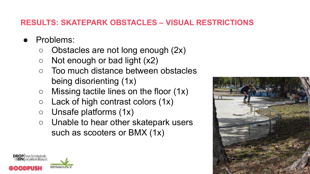# **RESULTS: SKATEPARK OBSTACLES – VISUAL RESTRICTIONS**

- Problems:
	- $\circ$  Obstacles are not long enough (2x)
	- $\circ$  Not enough or bad light  $(x2)$
	- Too much distance between obstacles being disorienting (1x)
	- $\circ$  Missing tactile lines on the floor (1x)
	- $\circ$  Lack of high contrast colors  $(1x)$
	- Unsafe platforms (1x)
	- Unable to hear other skatepark users such as scooters or BMX (1x)



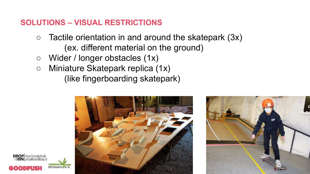# **SOLUTIONS – VISUAL RESTRICTIONS**

- $\circ$  Tactile orientation in and around the skatepark (3x) (ex. different material on the ground)
- Wider / longer obstacles (1x)

**DROP** Forum für interkulturelle

○ Miniature Skatepark replica (1x) (like fingerboarding skatepark)



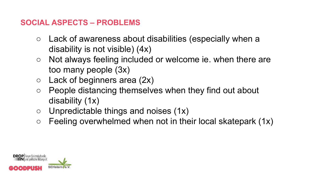# **SOCIAL ASPECTS – PROBLEMS**

- Lack of awareness about disabilities (especially when a disability is not visible) (4x)
- Not always feeling included or welcome ie. when there are too many people (3x)
- $\circ$  Lack of beginners area (2x)
- People distancing themselves when they find out about disability (1x)
- $\circ$  Unpredictable things and noises (1x)
- $\circ$  Feeling overwhelmed when not in their local skatepark (1x)

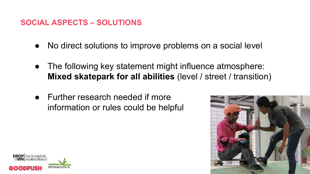# **SOCIAL ASPECTS – SOLUTIONS**

- No direct solutions to improve problems on a social level
- The following key statement might influence atmosphere: **Mixed skatepark for all abilities** (level / street / transition)
- Further research needed if more information or rules could be helpful



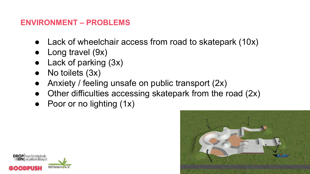# **ENVIRONMENT – PROBLEMS**

- Lack of wheelchair access from road to skatepark (10x)
- Long travel  $(9x)$
- Lack of parking (3x)
- No toilets (3x)
- Anxiety / feeling unsafe on public transport  $(2x)$
- Other difficulties accessing skatepark from the road  $(2x)$
- Poor or no lighting (1x)



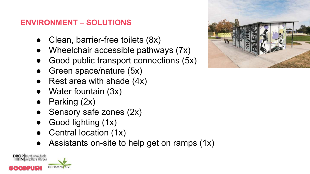# **ENVIRONMENT – SOLUTIONS**

- Clean, barrier-free toilets  $(8x)$
- Wheelchair accessible pathways  $(7x)$
- Good public transport connections (5x)
- Green space/nature (5x)
- Rest area with shade  $(4x)$
- Water fountain (3x)
- Parking (2x)
- Sensory safe zones (2x)
- Good lighting (1x)
- Central location (1x)
- Assistants on-site to help get on ramps  $(1x)$

DROP Forum für interlauturelle

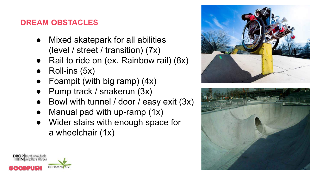# **DREAM OBSTACLES**

- Mixed skatepark for all abilities (level / street / transition) (7x)
- Rail to ride on (ex. Rainbow rail) (8x)
- Roll-ins (5x)
- Foampit (with big ramp)  $(4x)$
- Pump track / snakerun (3x)
- Bowl with tunnel / door / easy exit  $(3x)$
- Manual pad with up-ramp  $(1x)$
- Wider stairs with enough space for a wheelchair (1x)





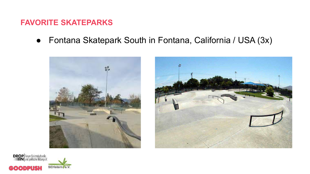#### **FAVORITE SKATEPARKS**

● Fontana Skatepark South in Fontana, California / USA (3x)





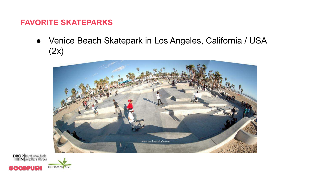#### **FAVORITE SKATEPARKS**

● Venice Beach Skatepark in Los Angeles, California / USA (2x)



**DROP** Forum für interkulturelle  $\bullet$  [  $\bullet$  ]  $\bullet$  ]

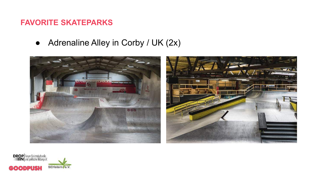#### **FAVORITE SKATEPARKS**

● Adrenaline Alley in Corby / UK (2x)